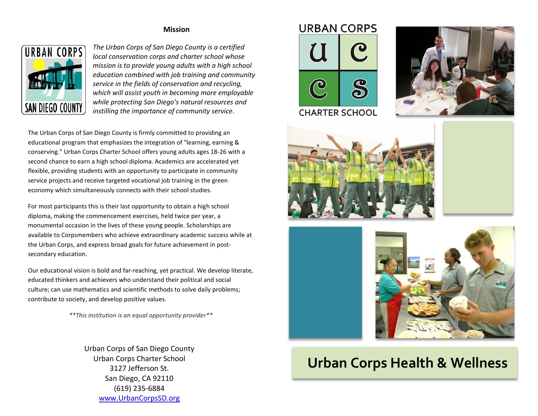## **Mission**



*The Urban Corps of San Diego County is a certified local conservation corps and charter school whose mission is to provide young adults with a high school education combined with job training and community service in the fields of conservation and recycling, which will assist youth in becoming more employable while protecting San Diego's natural resources and instilling the importance of community service*.

The Urban Corps of San Diego County is firmly committed to providing an educational program that emphasizes the integration of "learning, earning & conserving." Urban Corps Charter School offers young adults ages 18-26 with a second chance to earn a high school diploma. Academics are accelerated yet flexible, providing students with an opportunity to participate in community service projects and receive targeted vocational job training in the green economy which simultaneously connects with their school studies.

For most participants this is their last opportunity to obtain a high school diploma, making the commencement exercises, held twice per year, a monumental occasion in the lives of these young people. Scholarships are available to Corpsmembers who achieve extraordinary academic success while at the Urban Corps, and express broad goals for future achievement in postsecondary education.

Our educational vision is bold and far-reaching, yet practical. We develop literate, educated thinkers and achievers who understand their political and social culture; can use mathematics and scientific methods to solve daily problems; contribute to society, and develop positive values.

*\*\*This institution is an equal opportunity provider\*\**

Urban Corps of San Diego County Urban Corps Charter School 3127 Jefferson St. San Diego, CA 92110 (619) 235-6884 [www.UrbanCorpsSD.org](http://www.urbancorpssd.org/)











## **Urban Corps Health & Wellness**